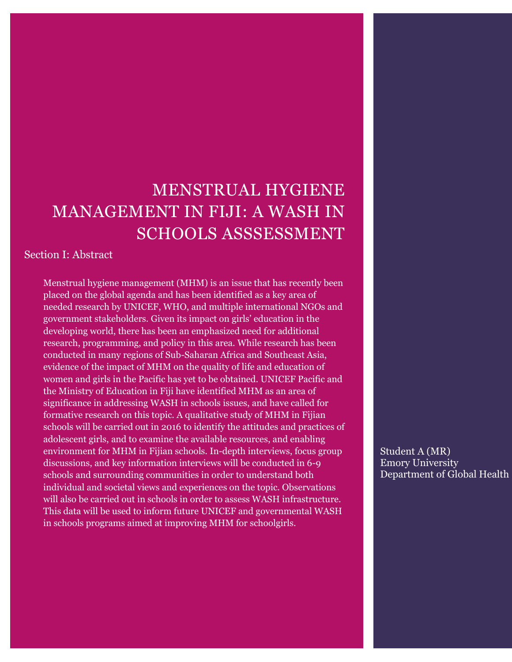# MENSTRUAL HYGIENE MANAGEMENT IN FIJI: A WASH IN SCHOOLS ASSSESSMENT

Section I: Abstract

Menstrual hygiene management (MHM) is an issue that has recently been placed on the global agenda and has been identified as a key area of needed research by UNICEF, WHO, and multiple international NGOs and government stakeholders. Given its impact on girls' education in the developing world, there has been an emphasized need for additional research, programming, and policy in this area. While research has been conducted in many regions of Sub-Saharan Africa and Southeast Asia, evidence of the impact of MHM on the quality of life and education of women and girls in the Pacific has yet to be obtained. UNICEF Pacific and the Ministry of Education in Fiji have identified MHM as an area of significance in addressing WASH in schools issues, and have called for formative research on this topic. A qualitative study of MHM in Fijian schools will be carried out in 2016 to identify the attitudes and practices of adolescent girls, and to examine the available resources, and enabling environment for MHM in Fijian schools. In-depth interviews, focus group discussions, and key information interviews will be conducted in 6-9 schools and surrounding communities in order to understand both individual and societal views and experiences on the topic. Observations will also be carried out in schools in order to assess WASH infrastructure. This data will be used to inform future UNICEF and governmental WASH in schools programs aimed at improving MHM for schoolgirls.

Student A (MR) Emory University Department of Global Health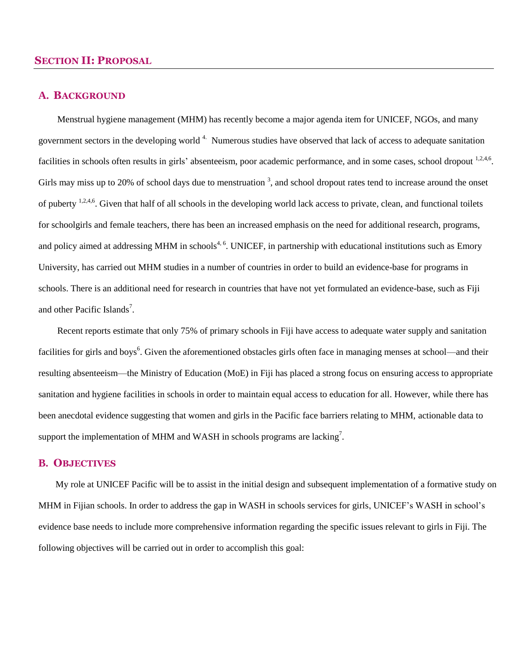#### **SECTION II: PROPOSAL**

#### **A. BACKGROUND**

Menstrual hygiene management (MHM) has recently become a major agenda item for UNICEF, NGOs, and many government sectors in the developing world<sup>4.</sup> Numerous studies have observed that lack of access to adequate sanitation facilities in schools often results in girls' absenteeism, poor academic performance, and in some cases, school dropout <sup>1,2,4,6</sup>. Girls may miss up to 20% of school days due to menstruation  $3$ , and school dropout rates tend to increase around the onset of puberty <sup>1,2,4,6</sup>. Given that half of all schools in the developing world lack access to private, clean, and functional toilets for schoolgirls and female teachers, there has been an increased emphasis on the need for additional research, programs, and policy aimed at addressing MHM in schools<sup>4, 6</sup>. UNICEF, in partnership with educational institutions such as Emory University, has carried out MHM studies in a number of countries in order to build an evidence-base for programs in schools. There is an additional need for research in countries that have not yet formulated an evidence-base, such as Fiji and other Pacific Islands<sup>7</sup>.

Recent reports estimate that only 75% of primary schools in Fiji have access to adequate water supply and sanitation facilities for girls and boys<sup>6</sup>. Given the aforementioned obstacles girls often face in managing menses at school—and their resulting absenteeism—the Ministry of Education (MoE) in Fiji has placed a strong focus on ensuring access to appropriate sanitation and hygiene facilities in schools in order to maintain equal access to education for all. However, while there has been anecdotal evidence suggesting that women and girls in the Pacific face barriers relating to MHM, actionable data to support the implementation of MHM and WASH in schools programs are lacking<sup>7</sup>.

#### **B. OBJECTIVES**

My role at UNICEF Pacific will be to assist in the initial design and subsequent implementation of a formative study on MHM in Fijian schools. In order to address the gap in WASH in schools services for girls, UNICEF's WASH in school's evidence base needs to include more comprehensive information regarding the specific issues relevant to girls in Fiji. The following objectives will be carried out in order to accomplish this goal: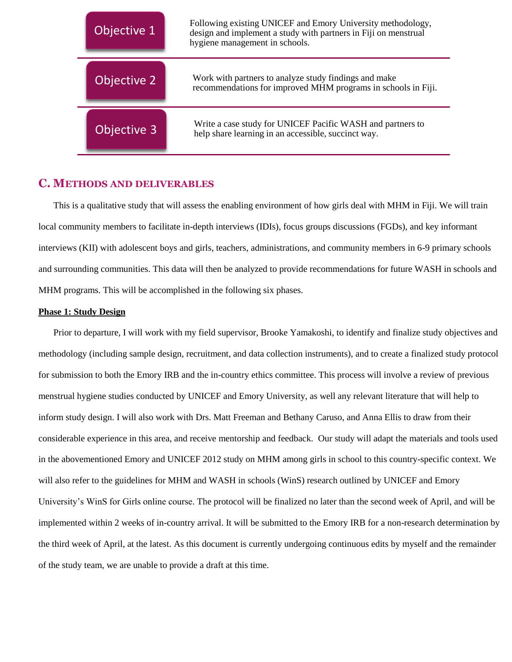| Objective 1 | Following existing UNICEF and Emory University methodology,<br>design and implement a study with partners in Fiji on menstrual<br>hygiene management in schools. |
|-------------|------------------------------------------------------------------------------------------------------------------------------------------------------------------|
| Objective 2 | Work with partners to analyze study findings and make<br>recommendations for improved MHM programs in schools in Fiji.                                           |
| Objective 3 | Write a case study for UNICEF Pacific WASH and partners to<br>help share learning in an accessible, succinct way.                                                |

#### **C. METHODS AND DELIVERABLES**

This is a qualitative study that will assess the enabling environment of how girls deal with MHM in Fiji. We will train local community members to facilitate in-depth interviews (IDIs), focus groups discussions (FGDs), and key informant interviews (KII) with adolescent boys and girls, teachers, administrations, and community members in 6-9 primary schools and surrounding communities. This data will then be analyzed to provide recommendations for future WASH in schools and MHM programs. This will be accomplished in the following six phases.

#### **Phase 1: Study Design**

Prior to departure, I will work with my field supervisor, Brooke Yamakoshi, to identify and finalize study objectives and methodology (including sample design, recruitment, and data collection instruments), and to create a finalized study protocol for submission to both the Emory IRB and the in-country ethics committee. This process will involve a review of previous menstrual hygiene studies conducted by UNICEF and Emory University, as well any relevant literature that will help to inform study design. I will also work with Drs. Matt Freeman and Bethany Caruso, and Anna Ellis to draw from their considerable experience in this area, and receive mentorship and feedback. Our study will adapt the materials and tools used in the abovementioned Emory and UNICEF 2012 study on MHM among girls in school to this country-specific context. We will also refer to the guidelines for MHM and WASH in schools (WinS) research outlined by UNICEF and Emory University's WinS for Girls online course. The protocol will be finalized no later than the second week of April, and will be implemented within 2 weeks of in-country arrival. It will be submitted to the Emory IRB for a non-research determination by the third week of April, at the latest. As this document is currently undergoing continuous edits by myself and the remainder of the study team, we are unable to provide a draft at this time.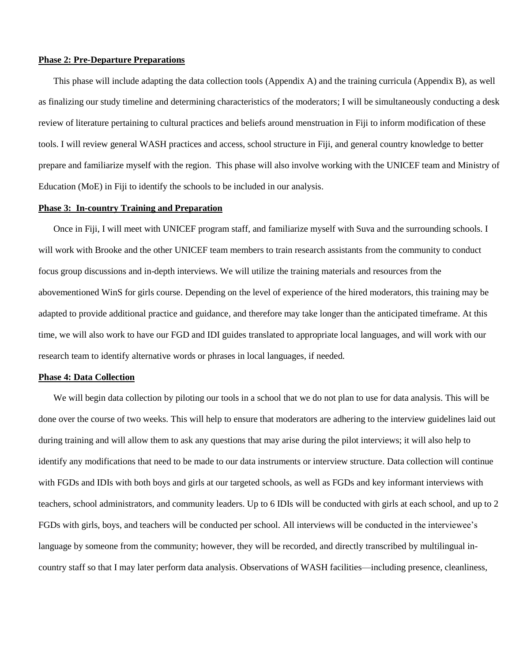#### **Phase 2: Pre-Departure Preparations**

This phase will include adapting the data collection tools (Appendix A) and the training curricula (Appendix B), as well as finalizing our study timeline and determining characteristics of the moderators; I will be simultaneously conducting a desk review of literature pertaining to cultural practices and beliefs around menstruation in Fiji to inform modification of these tools. I will review general WASH practices and access, school structure in Fiji, and general country knowledge to better prepare and familiarize myself with the region. This phase will also involve working with the UNICEF team and Ministry of Education (MoE) in Fiji to identify the schools to be included in our analysis.

#### **Phase 3: In-country Training and Preparation**

Once in Fiji, I will meet with UNICEF program staff, and familiarize myself with Suva and the surrounding schools. I will work with Brooke and the other UNICEF team members to train research assistants from the community to conduct focus group discussions and in-depth interviews. We will utilize the training materials and resources from the abovementioned WinS for girls course. Depending on the level of experience of the hired moderators, this training may be adapted to provide additional practice and guidance, and therefore may take longer than the anticipated timeframe. At this time, we will also work to have our FGD and IDI guides translated to appropriate local languages, and will work with our research team to identify alternative words or phrases in local languages, if needed.

#### **Phase 4: Data Collection**

We will begin data collection by piloting our tools in a school that we do not plan to use for data analysis. This will be done over the course of two weeks. This will help to ensure that moderators are adhering to the interview guidelines laid out during training and will allow them to ask any questions that may arise during the pilot interviews; it will also help to identify any modifications that need to be made to our data instruments or interview structure. Data collection will continue with FGDs and IDIs with both boys and girls at our targeted schools, as well as FGDs and key informant interviews with teachers, school administrators, and community leaders. Up to 6 IDIs will be conducted with girls at each school, and up to 2 FGDs with girls, boys, and teachers will be conducted per school. All interviews will be conducted in the interviewee's language by someone from the community; however, they will be recorded, and directly transcribed by multilingual incountry staff so that I may later perform data analysis. Observations of WASH facilities—including presence, cleanliness,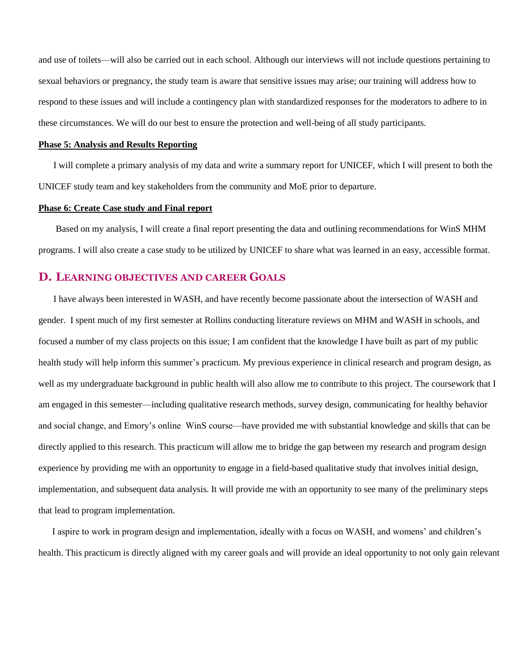and use of toilets—will also be carried out in each school. Although our interviews will not include questions pertaining to sexual behaviors or pregnancy, the study team is aware that sensitive issues may arise; our training will address how to respond to these issues and will include a contingency plan with standardized responses for the moderators to adhere to in these circumstances. We will do our best to ensure the protection and well-being of all study participants.

#### **Phase 5: Analysis and Results Reporting**

I will complete a primary analysis of my data and write a summary report for UNICEF, which I will present to both the UNICEF study team and key stakeholders from the community and MoE prior to departure.

#### **Phase 6: Create Case study and Final report**

Based on my analysis, I will create a final report presenting the data and outlining recommendations for WinS MHM programs. I will also create a case study to be utilized by UNICEF to share what was learned in an easy, accessible format.

#### **D. LEARNING OBJECTIVES AND CAREER GOALS**

I have always been interested in WASH, and have recently become passionate about the intersection of WASH and gender. I spent much of my first semester at Rollins conducting literature reviews on MHM and WASH in schools, and focused a number of my class projects on this issue; I am confident that the knowledge I have built as part of my public health study will help inform this summer's practicum. My previous experience in clinical research and program design, as well as my undergraduate background in public health will also allow me to contribute to this project. The coursework that I am engaged in this semester—including qualitative research methods, survey design, communicating for healthy behavior and social change, and Emory's online WinS course—have provided me with substantial knowledge and skills that can be directly applied to this research. This practicum will allow me to bridge the gap between my research and program design experience by providing me with an opportunity to engage in a field-based qualitative study that involves initial design, implementation, and subsequent data analysis. It will provide me with an opportunity to see many of the preliminary steps that lead to program implementation.

 I aspire to work in program design and implementation, ideally with a focus on WASH, and womens' and children's health. This practicum is directly aligned with my career goals and will provide an ideal opportunity to not only gain relevant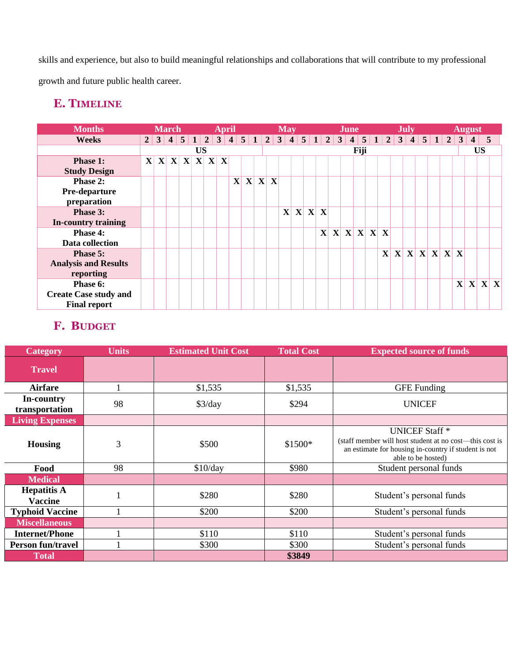skills and experience, but also to build meaningful relationships and collaborations that will contribute to my professional growth and future public health career.

# **E. TIMELINE**

| <b>Months</b>                |                | <b>March</b> |  |    | <b>April</b>                          |              |  |       | <b>May</b> |         |              | <b>June</b> |      |           | <b>July</b> |               |  |              | <b>August</b>           |                 |     |
|------------------------------|----------------|--------------|--|----|---------------------------------------|--------------|--|-------|------------|---------|--------------|-------------|------|-----------|-------------|---------------|--|--------------|-------------------------|-----------------|-----|
| Weeks                        | $\overline{2}$ |              |  |    | $34512345123451234512345123451234512$ |              |  |       |            |         |              |             |      |           |             |               |  | $\mathbf{3}$ | $\overline{\mathbf{4}}$ | $5\overline{5}$ |     |
|                              |                |              |  | US |                                       |              |  |       |            |         |              |             | Fiji |           |             |               |  |              |                         | <b>US</b>       |     |
| Phase 1:                     |                |              |  |    | $X$ $X$ $X$ $X$ $X$ $X$               |              |  |       |            |         |              |             |      |           |             |               |  |              |                         |                 |     |
| <b>Study Design</b>          |                |              |  |    |                                       |              |  |       |            |         |              |             |      |           |             |               |  |              |                         |                 |     |
| Phase 2:                     |                |              |  |    |                                       | $\mathbf{X}$ |  | X X X |            |         |              |             |      |           |             |               |  |              |                         |                 |     |
| Pre-departure                |                |              |  |    |                                       |              |  |       |            |         |              |             |      |           |             |               |  |              |                         |                 |     |
| preparation                  |                |              |  |    |                                       |              |  |       |            |         |              |             |      |           |             |               |  |              |                         |                 |     |
| Phase 3:                     |                |              |  |    |                                       |              |  |       |            | X X X X |              |             |      |           |             |               |  |              |                         |                 |     |
| In-country training          |                |              |  |    |                                       |              |  |       |            |         |              |             |      |           |             |               |  |              |                         |                 |     |
| Phase 4:                     |                |              |  |    |                                       |              |  |       |            |         | $\mathbf{X}$ |             |      | X X X X X |             |               |  |              |                         |                 |     |
| Data collection              |                |              |  |    |                                       |              |  |       |            |         |              |             |      |           |             |               |  |              |                         |                 |     |
| Phase 5:                     |                |              |  |    |                                       |              |  |       |            |         |              |             |      |           |             | X X X X X X X |  |              |                         |                 |     |
| <b>Analysis and Results</b>  |                |              |  |    |                                       |              |  |       |            |         |              |             |      |           |             |               |  |              |                         |                 |     |
| reporting                    |                |              |  |    |                                       |              |  |       |            |         |              |             |      |           |             |               |  |              |                         |                 |     |
| Phase 6:                     |                |              |  |    |                                       |              |  |       |            |         |              |             |      |           |             |               |  | $\mathbf{X}$ | $\mathbf{X}$            |                 | X X |
| <b>Create Case study and</b> |                |              |  |    |                                       |              |  |       |            |         |              |             |      |           |             |               |  |              |                         |                 |     |
| <b>Final report</b>          |                |              |  |    |                                       |              |  |       |            |         |              |             |      |           |             |               |  |              |                         |                 |     |

# **F. BUDGET**

| <b>Category</b>                      | <b>Units</b> | <b>Estimated Unit Cost</b> | <b>Total Cost</b> | <b>Expected source of funds</b>                                                                                                                                |
|--------------------------------------|--------------|----------------------------|-------------------|----------------------------------------------------------------------------------------------------------------------------------------------------------------|
| <b>Travel</b>                        |              |                            |                   |                                                                                                                                                                |
| <b>Airfare</b>                       |              | \$1,535                    | \$1,535           | <b>GFE</b> Funding                                                                                                                                             |
| In-country<br>transportation         | 98           | \$3/day                    | \$294             | <b>UNICEF</b>                                                                                                                                                  |
| <b>Living Expenses</b>               |              |                            |                   |                                                                                                                                                                |
| <b>Housing</b>                       | 3            | \$500                      | \$1500*           | <b>UNICEF Staff</b> *<br>(staff member will host student at no cost—this cost is<br>an estimate for housing in-country if student is not<br>able to be hosted) |
| Food                                 | 98           | \$10/day                   | \$980             | Student personal funds                                                                                                                                         |
| <b>Medical</b>                       |              |                            |                   |                                                                                                                                                                |
| <b>Hepatitis A</b><br><b>Vaccine</b> |              | \$280                      | \$280             | Student's personal funds                                                                                                                                       |
| <b>Typhoid Vaccine</b>               |              | \$200                      | \$200             | Student's personal funds                                                                                                                                       |
| <b>Miscellaneous</b>                 |              |                            |                   |                                                                                                                                                                |
| <b>Internet/Phone</b>                |              | \$110                      | \$110             | Student's personal funds                                                                                                                                       |
| <b>Person fun/travel</b>             |              | \$300                      | \$300             | Student's personal funds                                                                                                                                       |
| <b>Total</b>                         |              |                            | \$3849            |                                                                                                                                                                |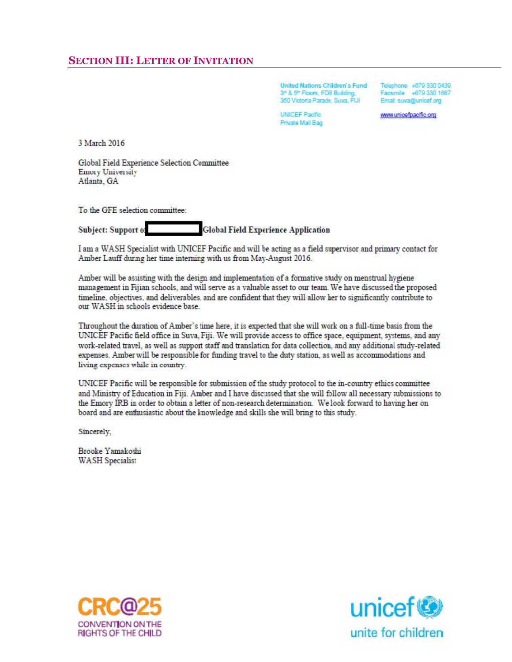**United Nations Children's Fund** 3rd & 5th Floors, FDB Building, 360 Victoria Parade, Suva, FIJI

**UNICEF Pacific** Private Mail Bag

Telephone +679 330 0439 Facsmile +679 330 1667 Email: suva@unicef.org

www.unicefpacific.org

3 March 2016

Global Field Experience Selection Committee Emory University Atlanta, GA

To the GFE selection committee:

**Global Field Experience Application** Subject: Support of

I am a WASH Specialist with UNICEF Pacific and will be acting as a field supervisor and primary contact for Amber Lauff during her time interning with us from May-August 2016.

Amber will be assisting with the design and implementation of a formative study on menstrual hygiene management in Fijian schools, and will serve as a valuable asset to our team. We have discussed the proposed timeline, objectives, and deliverables, and are confident that they will allow her to significantly contribute to our WASH in schools evidence base.

Throughout the duration of Amber's time here, it is expected that she will work on a full-time basis from the UNICEF Pacific field office in Suva, Fiji. We will provide access to office space, equipment, systems, and any work-related travel, as well as support staff and translation for data collection, and any additional study-related expenses. Amber will be responsible for funding travel to the duty station, as well as accommodations and living expenses while in country.

UNICEF Pacific will be responsible for submission of the study protocol to the in-country ethics committee and Ministry of Education in Fiji. Amber and I have discussed that she will follow all necessary submissions to the Emory IRB in order to obtain a letter of non-research determination. We look forward to having her on board and are enthusiastic about the knowledge and skills she will bring to this study.

Sincerely,

Brooke Yamakoshi **WASH Specialist** 



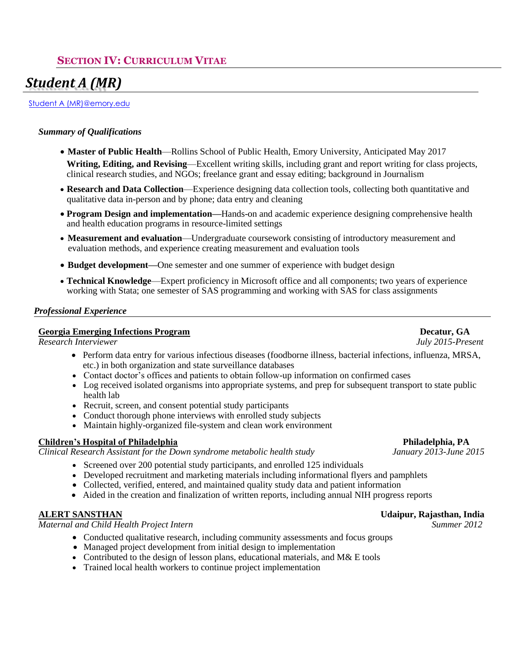## **SECTION IV: CURRICULUM VITAE**

# *Student A (MR)*

Student A (MR)@emory.edu

#### *Summary of Qualifications*

- **Master of Public Health**—Rollins School of Public Health, Emory University, Anticipated May 2017 **Writing, Editing, and Revising**—Excellent writing skills, including grant and report writing for class projects, clinical research studies, and NGOs; freelance grant and essay editing; background in Journalism
- **Research and Data Collection**—Experience designing data collection tools, collecting both quantitative and qualitative data in-person and by phone; data entry and cleaning
- **Program Design and implementation—**Hands-on and academic experience designing comprehensive health and health education programs in resource-limited settings
- **Measurement and evaluation**—Undergraduate coursework consisting of introductory measurement and evaluation methods, and experience creating measurement and evaluation tools
- **Budget development—**One semester and one summer of experience with budget design
- **Technical Knowledge**—Expert proficiency in Microsoft office and all components; two years of experience working with Stata; one semester of SAS programming and working with SAS for class assignments

#### *Professional Experience*

#### **Georgia Emerging Infections Program Decatur, GA**

*Research Interviewer July 2015-Present*

- Perform data entry for various infectious diseases (foodborne illness, bacterial infections, influenza, MRSA, etc.) in both organization and state surveillance databases
- Contact doctor's offices and patients to obtain follow-up information on confirmed cases
- Log received isolated organisms into appropriate systems, and prep for subsequent transport to state public health lab
- Recruit, screen, and consent potential study participants
- Conduct thorough phone interviews with enrolled study subjects
- Maintain highly-organized file-system and clean work environment

#### **Children's Hospital of Philadelphia Philadelphia, PA**

*Clinical Research Assistant for the Down syndrome metabolic health study January 2013-June 2015*

- Screened over 200 potential study participants, and enrolled 125 individuals
- Developed recruitment and marketing materials including informational flyers and pamphlets
- Collected, verified, entered, and maintained quality study data and patient information
- Aided in the creation and finalization of written reports, including annual NIH progress reports

*Maternal and Child Health Project Intern Summer 2012*

- Conducted qualitative research, including community assessments and focus groups
- Managed project development from initial design to implementation
- Contributed to the design of lesson plans, educational materials, and M& E tools
- Trained local health workers to continue project implementation

#### **ALERT SANSTHAN Udaipur, Rajasthan, India**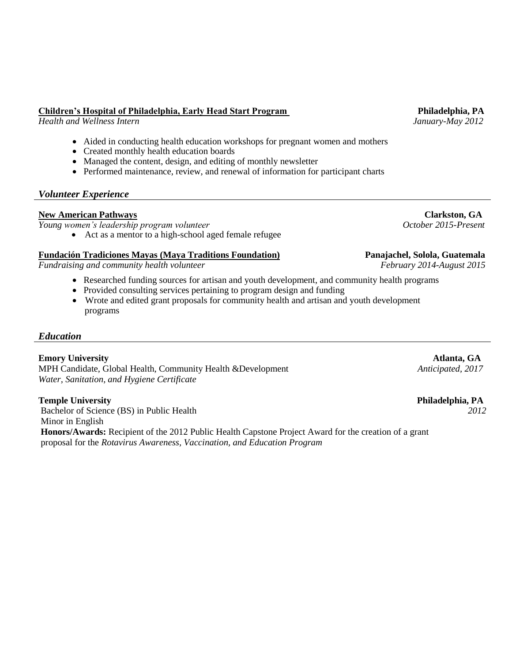## **Children's Hospital of Philadelphia, Early Head Start Program Philadelphia, PA**

*Health and Wellness Intern January-May 2012*

- Aided in conducting health education workshops for pregnant women and mothers
- Created monthly health education boards
- Managed the content, design, and editing of monthly newsletter
- Performed maintenance, review, and renewal of information for participant charts

## *Volunteer Experience*

**New American Pathways Clarkston, GA**<br> **Noung women's leadership program volunteer**<br> **Noung women's leadership program volunteer**<br> **Clarkston, GA** *Young women's leadership program volunteer* 

• Act as a mentor to a high-school aged female refugee

## **Fundación Tradiciones Mayas (Maya Traditions Foundation) Panajachel, Solola, Guatemala**

*Fundraising and community health volunteer* February 2014-August 2015

- Researched funding sources for artisan and youth development, and community health programs
- Provided consulting services pertaining to program design and funding
- Wrote and edited grant proposals for community health and artisan and youth development programs

#### *Education*

**Emory University Atlanta, GA**  MPH Candidate, Global Health, Community Health &Development *Anticipated, 2017 Water, Sanitation, and Hygiene Certificate*

#### **Temple University Philadelphia, PA**

Bachelor of Science (BS) in Public Health *2012* Minor in English **Honors/Awards:** Recipient of the 2012 Public Health Capstone Project Award for the creation of a grant proposal for the *Rotavirus Awareness, Vaccination, and Education Program*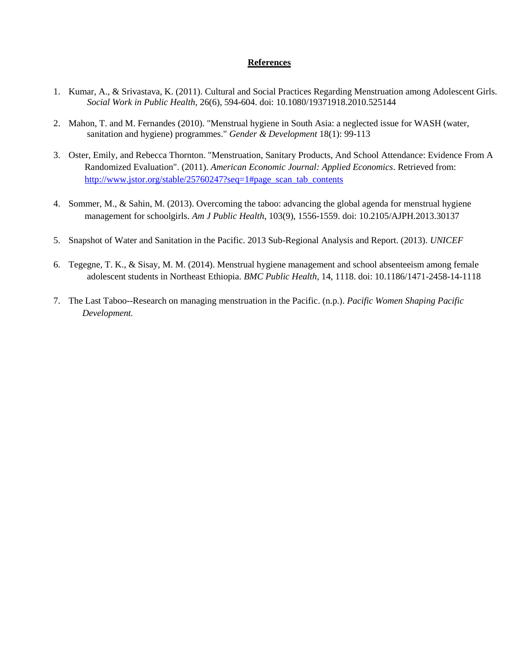#### **References**

- 1. Kumar, A., & Srivastava, K. (2011). Cultural and Social Practices Regarding Menstruation among Adolescent Girls.  *Social Work in Public Health*, 26(6), 594-604. doi: 10.1080/19371918.2010.525144
- 2. Mahon, T. and M. Fernandes (2010). "Menstrual hygiene in South Asia: a neglected issue for WASH (water, sanitation and hygiene) programmes." *Gender & Development* 18(1): 99-113
- 3. Oster, Emily, and Rebecca Thornton. "Menstruation, Sanitary Products, And School Attendance: Evidence From A Randomized Evaluation". (2011). *American Economic Journal: Applied Economics*. Retrieved from: [http://www.jstor.org/stable/25760247?seq=1#page\\_scan\\_tab\\_contents](http://www.jstor.org/stable/25760247?seq=1#page_scan_tab_contents)
- 4. Sommer, M., & Sahin, M. (2013). Overcoming the taboo: advancing the global agenda for menstrual hygiene management for schoolgirls. *Am J Public Health*, 103(9), 1556-1559. doi: 10.2105/AJPH.2013.30137
- 5. Snapshot of Water and Sanitation in the Pacific. 2013 Sub-Regional Analysis and Report. (2013). *UNICEF*
- 6. Tegegne, T. K., & Sisay, M. M. (2014). Menstrual hygiene management and school absenteeism among female adolescent students in Northeast Ethiopia. *BMC Public Health,* 14, 1118. doi: 10.1186/1471-2458-14-1118
- 7. The Last Taboo--Research on managing menstruation in the Pacific. (n.p.). *Pacific Women Shaping Pacific Development.*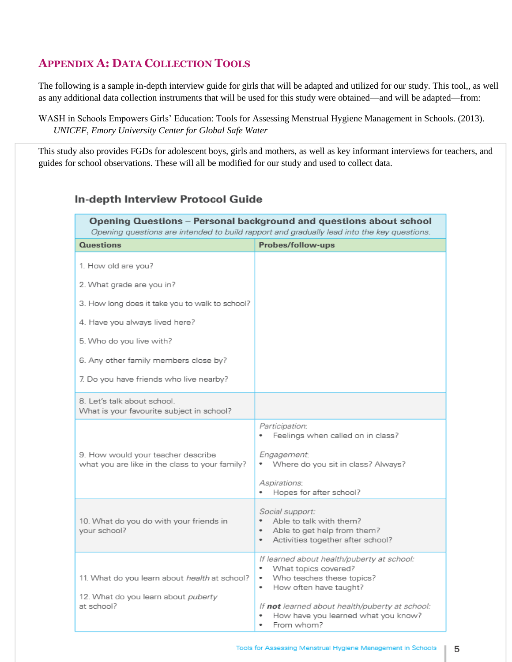# **APPENDIX A: DATA COLLECTION TOOLS**

The following is a sample in-depth interview guide for girls that will be adapted and utilized for our study. This tool,, as well as any additional data collection instruments that will be used for this study were obtained—and will be adapted—from:

WASH in Schools Empowers Girls' Education: Tools for Assessing Menstrual Hygiene Management in Schools. (2013). *UNICEF, Emory University Center for Global Safe Water* 

This study also provides FGDs for adolescent boys, girls and mothers, as well as key informant interviews for teachers, and guides for school observations. These will all be modified for our study and used to collect data.

### In-depth Interview Protocol Guide

| <b>Opening Questions - Personal background and questions about school</b><br>Opening questions are intended to build rapport and gradually lead into the key questions. |                                                                                                                                                                                            |  |  |  |  |  |
|-------------------------------------------------------------------------------------------------------------------------------------------------------------------------|--------------------------------------------------------------------------------------------------------------------------------------------------------------------------------------------|--|--|--|--|--|
| <b>Questions</b>                                                                                                                                                        | Probes/follow-ups                                                                                                                                                                          |  |  |  |  |  |
| 1. How old are you?                                                                                                                                                     |                                                                                                                                                                                            |  |  |  |  |  |
| 2. What grade are you in?                                                                                                                                               |                                                                                                                                                                                            |  |  |  |  |  |
| 3. How long does it take you to walk to school?                                                                                                                         |                                                                                                                                                                                            |  |  |  |  |  |
| 4. Have you always lived here?                                                                                                                                          |                                                                                                                                                                                            |  |  |  |  |  |
| 5. Who do you live with?                                                                                                                                                |                                                                                                                                                                                            |  |  |  |  |  |
| 6. Any other family members close by?                                                                                                                                   |                                                                                                                                                                                            |  |  |  |  |  |
| 7. Do you have friends who live nearby?                                                                                                                                 |                                                                                                                                                                                            |  |  |  |  |  |
| 8. Let's talk about school.<br>What is your favourite subject in school?                                                                                                |                                                                                                                                                                                            |  |  |  |  |  |
|                                                                                                                                                                         | Participation:<br>Feelings when called on in class?                                                                                                                                        |  |  |  |  |  |
| 9. How would your teacher describe<br>what you are like in the class to your family?                                                                                    | Engagement:<br>Where do you sit in class? Always?                                                                                                                                          |  |  |  |  |  |
|                                                                                                                                                                         | Aspirations:<br>Hopes for after school?                                                                                                                                                    |  |  |  |  |  |
| 10. What do you do with your friends in<br>your school?                                                                                                                 | <i>Social support:</i><br>Able to talk with them?<br>Able to get help from them?<br>$\bullet$<br>Activities together after school?<br>$\bullet$                                            |  |  |  |  |  |
| 11. What do you learn about health at school?<br>12. What do you learn about puberty<br>at school?                                                                      | If learned about health/puberty at school:<br>What topics covered?<br>٠<br>Who teaches these topics?<br>٠<br>How often have taught?<br>٠<br>If not learned about health/puberty at school: |  |  |  |  |  |
|                                                                                                                                                                         | How have you learned what you know?<br>٠<br>From whom?                                                                                                                                     |  |  |  |  |  |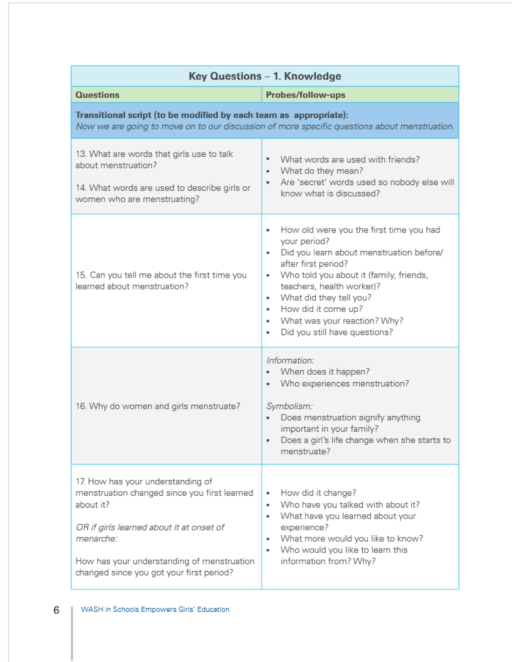| Key Questions - 1. Knowledge                                                                                                                                                                                                                      |                                                                                                                                                                                                                                                                                                                                                     |  |  |  |  |  |
|---------------------------------------------------------------------------------------------------------------------------------------------------------------------------------------------------------------------------------------------------|-----------------------------------------------------------------------------------------------------------------------------------------------------------------------------------------------------------------------------------------------------------------------------------------------------------------------------------------------------|--|--|--|--|--|
| <b>Questions</b>                                                                                                                                                                                                                                  | Probes/follow-ups                                                                                                                                                                                                                                                                                                                                   |  |  |  |  |  |
| Transitional script (to be modified by each team as appropriate):<br>Now we are going to move on to our discussion of more specific questions about menstruation.                                                                                 |                                                                                                                                                                                                                                                                                                                                                     |  |  |  |  |  |
| 13. What are words that girls use to talk<br>about menstruation?<br>14. What words are used to describe girls or<br>women who are menstruating?                                                                                                   | What words are used with friends?<br>What do they mean?<br>٠<br>Are 'secret' words used so nobody else will<br>٠<br>know what is discussed?                                                                                                                                                                                                         |  |  |  |  |  |
| 15. Can you tell me about the first time you<br>learned about menstruation?                                                                                                                                                                       | How old were you the first time you had<br>٠<br>your period?<br>Did you learn about menstruation before/<br>after first period?<br>Who told you about it (family, friends,<br>٠<br>teachers, health worker)?<br>What did they tell you?<br>٠<br>How did it come up?<br>٠<br>What was your reaction? Why?<br>٠<br>Did you still have questions?<br>٠ |  |  |  |  |  |
| 16. Why do women and girls menstruate?                                                                                                                                                                                                            | Information:<br>When does it happen?<br>٠<br>Who experiences menstruation?<br>٠<br>Symbolism:<br>Does menstruation signify anything<br>important in your family?<br>Does a girl's life change when she starts to<br>menstruate?                                                                                                                     |  |  |  |  |  |
| 17. How has your understanding of<br>menstruation changed since you first learned<br>about it?<br>OR if girls learned about it at onset of<br>menarche:<br>How has your understanding of menstruation<br>changed since you got your first period? | How did it change?<br>٠<br>Who have you talked with about it?<br>٠<br>What have you learned about your<br>٠<br>experience?<br>What more would you like to know?<br>٠<br>Who would you like to learn this<br>٠<br>information from? Why?                                                                                                             |  |  |  |  |  |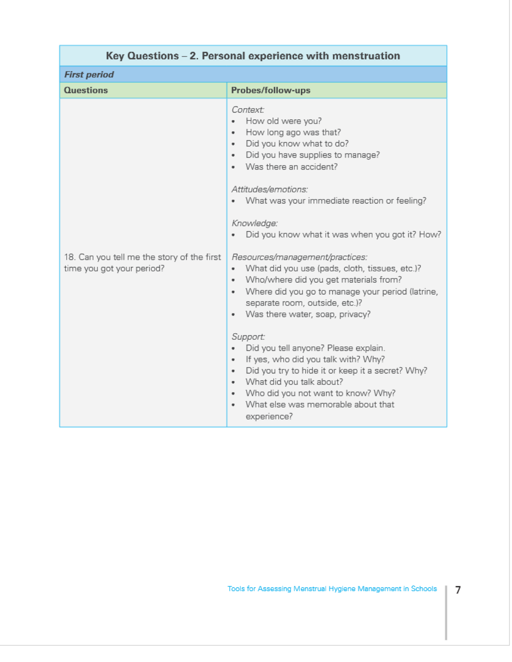| Key Questions – 2. Personal experience with menstruation                |                                                                                                                                                                                                                                                                                                                                                                                                                                                                                                                                                                                                                                                                                                                                                                                                                                                                                        |  |  |  |  |  |  |
|-------------------------------------------------------------------------|----------------------------------------------------------------------------------------------------------------------------------------------------------------------------------------------------------------------------------------------------------------------------------------------------------------------------------------------------------------------------------------------------------------------------------------------------------------------------------------------------------------------------------------------------------------------------------------------------------------------------------------------------------------------------------------------------------------------------------------------------------------------------------------------------------------------------------------------------------------------------------------|--|--|--|--|--|--|
| <b>First period</b>                                                     |                                                                                                                                                                                                                                                                                                                                                                                                                                                                                                                                                                                                                                                                                                                                                                                                                                                                                        |  |  |  |  |  |  |
| <b>Questions</b>                                                        | Probes/follow-ups                                                                                                                                                                                                                                                                                                                                                                                                                                                                                                                                                                                                                                                                                                                                                                                                                                                                      |  |  |  |  |  |  |
| 18. Can you tell me the story of the first<br>time you got your period? | Context:<br>How old were you?<br>۰<br>How long ago was that?<br>٠<br>Did you know what to do?<br>٠<br>Did you have supplies to manage?<br>٠<br>Was there an accident?<br>Attitudes/emotions:<br>What was your immediate reaction or feeling?<br>٠<br>Knowledge:<br>Did you know what it was when you got it? How?<br>Resources/management/practices:<br>What did you use (pads, cloth, tissues, etc.)?<br>٠<br>Who/where did you get materials from?<br>Where did you go to manage your period (latrine,<br>٠<br>separate room, outside, etc.)?<br>Was there water, soap, privacy?<br>٠<br>Support:<br>Did you tell anyone? Please explain.<br>٠<br>If yes, who did you talk with? Why?<br>٠<br>Did you try to hide it or keep it a secret? Why?<br>٠<br>What did you talk about?<br>٠<br>Who did you not want to know? Why?<br>٠<br>What else was memorable about that<br>experience? |  |  |  |  |  |  |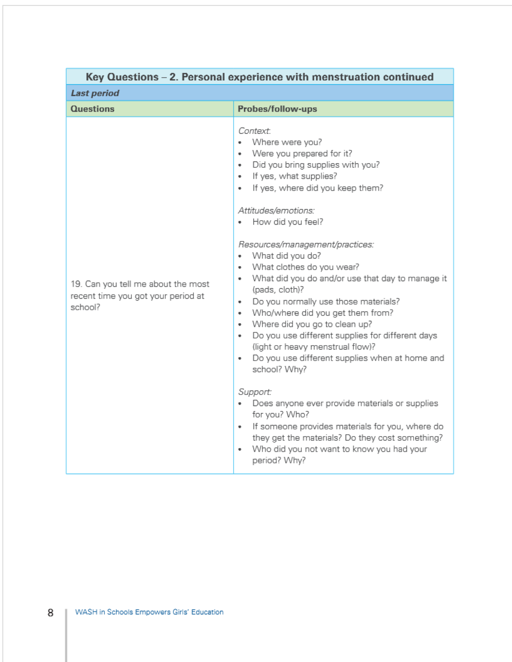| <b>Last period</b><br><b>Questions</b><br>Probes/follow-ups<br>Context:<br>Where were you?<br>٠<br>Were you prepared for it?<br>Did you bring supplies with you?<br>٠<br>If yes, what supplies?<br>٠<br>If yes, where did you keep them?<br>٠<br>Attitudes/emotions:<br>How did you feel?<br>٠<br>Resources/management/practices:<br>What did you do?<br>٠<br>What clothes do you wear?<br>٠<br>٠<br>19. Can you tell me about the most<br>(pads, cloth)?<br>recent time you got your period at<br>Do you normally use those materials?<br>٠<br>school?<br>Who/where did you get them from?<br>٠<br>Where did you go to clean up?<br>٠<br>Do you use different supplies for different days<br>٠ | Key Questions – 2. Personal experience with menstruation continued |                                                                                                                                                                                                                                              |  |  |  |  |
|-------------------------------------------------------------------------------------------------------------------------------------------------------------------------------------------------------------------------------------------------------------------------------------------------------------------------------------------------------------------------------------------------------------------------------------------------------------------------------------------------------------------------------------------------------------------------------------------------------------------------------------------------------------------------------------------------|--------------------------------------------------------------------|----------------------------------------------------------------------------------------------------------------------------------------------------------------------------------------------------------------------------------------------|--|--|--|--|
|                                                                                                                                                                                                                                                                                                                                                                                                                                                                                                                                                                                                                                                                                                 |                                                                    |                                                                                                                                                                                                                                              |  |  |  |  |
|                                                                                                                                                                                                                                                                                                                                                                                                                                                                                                                                                                                                                                                                                                 |                                                                    |                                                                                                                                                                                                                                              |  |  |  |  |
| ٠<br>school? Why?<br>Support:<br>Does anyone ever provide materials or supplies<br>for you? Who?<br>٠<br>Who did you not want to know you had your<br>٠                                                                                                                                                                                                                                                                                                                                                                                                                                                                                                                                         |                                                                    | What did you do and/or use that day to manage it<br>(light or heavy menstrual flow)?<br>Do you use different supplies when at home and<br>If someone provides materials for you, where do<br>they get the materials? Do they cost something? |  |  |  |  |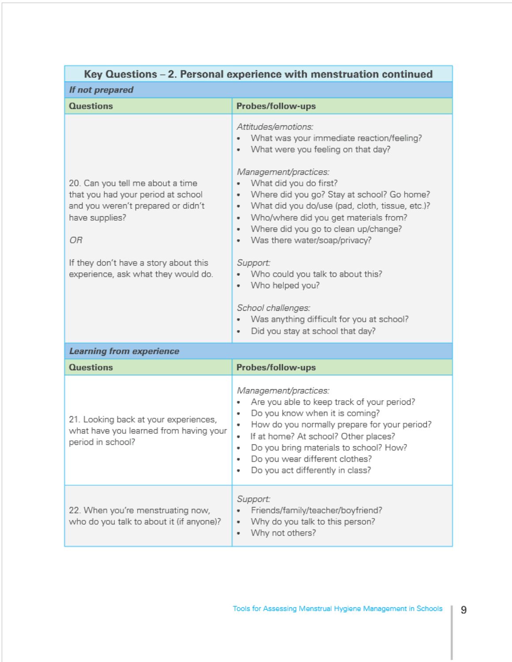| Key Questions - 2. Personal experience with menstruation continued                                                                                                                                                   |                                                                                                                                                                                                                                                                                                                                                                                                                                                                                                                                                                                                      |  |  |  |  |  |
|----------------------------------------------------------------------------------------------------------------------------------------------------------------------------------------------------------------------|------------------------------------------------------------------------------------------------------------------------------------------------------------------------------------------------------------------------------------------------------------------------------------------------------------------------------------------------------------------------------------------------------------------------------------------------------------------------------------------------------------------------------------------------------------------------------------------------------|--|--|--|--|--|
| If not prepared                                                                                                                                                                                                      |                                                                                                                                                                                                                                                                                                                                                                                                                                                                                                                                                                                                      |  |  |  |  |  |
| <b>Questions</b>                                                                                                                                                                                                     | Probes/follow-ups                                                                                                                                                                                                                                                                                                                                                                                                                                                                                                                                                                                    |  |  |  |  |  |
| 20. Can you tell me about a time<br>that you had your period at school<br>and you weren't prepared or didn't<br>have supplies?<br>ОR<br>If they don't have a story about this<br>experience, ask what they would do. | Attitudes/emotions:<br>What was your immediate reaction/feeling?<br>What were you feeling on that day?<br>٠<br>Management/practices:<br>What did you do first?<br>Where did you go? Stay at school? Go home?<br>۰<br>What did you do/use (pad, cloth, tissue, etc.)?<br>٠<br>Who/where did you get materials from?<br>۰<br>Where did you go to clean up/change?<br>۰<br>Was there water/soap/privacy?<br>۰<br>Support:<br>Who could you talk to about this?<br>Who helped you?<br>٠<br>School challenges:<br>Was anything difficult for you at school?<br>۰<br>Did you stay at school that day?<br>۰ |  |  |  |  |  |
| <b>Learning from experience</b>                                                                                                                                                                                      |                                                                                                                                                                                                                                                                                                                                                                                                                                                                                                                                                                                                      |  |  |  |  |  |
| <b>Questions</b>                                                                                                                                                                                                     | Probes/follow-ups                                                                                                                                                                                                                                                                                                                                                                                                                                                                                                                                                                                    |  |  |  |  |  |
| 21. Looking back at your experiences,<br>what have you learned from having your<br>period in school?                                                                                                                 | Management/practices:<br>Are you able to keep track of your period?<br>٠<br>Do you know when it is coming?<br>٠<br>How do you normally prepare for your period?<br>٠<br>If at home? At school? Other places?<br>٠<br>Do you bring materials to school? How?<br>۰<br>Do you wear different clothes?<br>Do you act differently in class?                                                                                                                                                                                                                                                               |  |  |  |  |  |
| 22. When you're menstruating now,<br>who do you talk to about it (if anyone)?                                                                                                                                        | Support:<br>Friends/family/teacher/boyfriend?<br>Why do you talk to this person?<br>Why not others?<br>٠                                                                                                                                                                                                                                                                                                                                                                                                                                                                                             |  |  |  |  |  |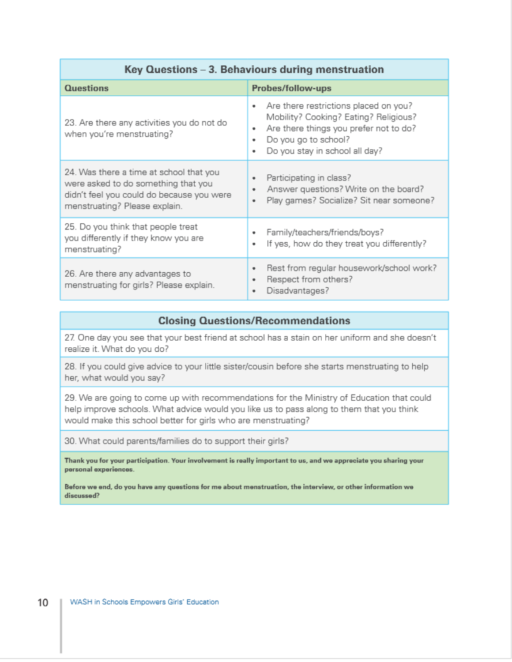| Questions                                                                                                                                                    | Probes/follow-ups                                                                                                                                                                                 |  |  |  |  |  |
|--------------------------------------------------------------------------------------------------------------------------------------------------------------|---------------------------------------------------------------------------------------------------------------------------------------------------------------------------------------------------|--|--|--|--|--|
| 23. Are there any activities you do not do<br>when you're menstruating?                                                                                      | Are there restrictions placed on you?<br>٠<br>Mobility? Cooking? Eating? Religious?<br>Are there things you prefer not to do?<br>٠<br>Do you go to school?<br>Do you stay in school all day?<br>٠ |  |  |  |  |  |
| 24. Was there a time at school that you<br>were asked to do something that you<br>didn't feel you could do because you were<br>menstruating? Please explain. | Participating in class?<br>Answer questions? Write on the board?<br>Play games? Socialize? Sit near someone?<br>٠                                                                                 |  |  |  |  |  |
| 25. Do you think that people treat<br>you differently if they know you are<br>menstruating?                                                                  | Family/teachers/friends/boys?<br>If yes, how do they treat you differently?<br>٠                                                                                                                  |  |  |  |  |  |
| 26. Are there any advantages to<br>menstruating for girls? Please explain.                                                                                   | Rest from regular housework/school work?<br>٠<br>Respect from others?<br>٠<br>Disadvantages?                                                                                                      |  |  |  |  |  |

#### **Closing Questions/Recommendations**

27. One day you see that your best friend at school has a stain on her uniform and she doesn't realize it. What do you do?

28. If you could give advice to your little sister/cousin before she starts menstruating to help her, what would you say?

29. We are going to come up with recommendations for the Ministry of Education that could help improve schools. What advice would you like us to pass along to them that you think would make this school better for girls who are menstruating?

30. What could parents/families do to support their girls?

Thank you for your participation. Your involvement is really important to us, and we appreciate you sharing your personal experiences.

Before we end, do you have any questions for me about menstruation, the interview, or other information we discussed?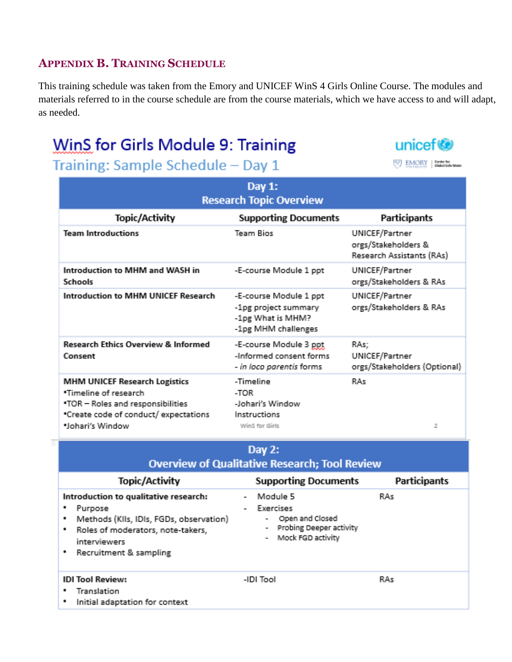# **APPENDIX B. TRAINING SCHEDULE**

This training schedule was taken from the Emory and UNICEF WinS 4 Girls Online Course. The modules and materials referred to in the course schedule are from the course materials, which we have access to and will adapt, as needed.

# WinS for Girls Module 9: Training

Training: Sample Schedule - Day 1

| Day 1:<br><b>Research Topic Overview</b>                                                                                                                              |                                                                                            |                                                                    |  |  |  |  |
|-----------------------------------------------------------------------------------------------------------------------------------------------------------------------|--------------------------------------------------------------------------------------------|--------------------------------------------------------------------|--|--|--|--|
| Topic/Activity                                                                                                                                                        | <b>Supporting Documents</b>                                                                | Participants                                                       |  |  |  |  |
| <b>Team Introductions</b>                                                                                                                                             | Team Bios                                                                                  | UNICEF/Partner<br>orgs/Stakeholders &<br>Research Assistants (RAs) |  |  |  |  |
| Introduction to MHM and WASH in<br>Schools                                                                                                                            | -E-course Module 1 ppt                                                                     | UNICEF/Partner<br>orgs/Stakeholders & RAs                          |  |  |  |  |
| Introduction to MHM UNICEF Research                                                                                                                                   | -E-course Module 1 ppt<br>-1pg project summary<br>-1pg What is MHM?<br>-1pg MHM challenges | UNICEF/Partner<br>orgs/Stakeholders & RAs                          |  |  |  |  |
| <b>Research Ethics Overview &amp; Informed</b><br>Consent                                                                                                             | -E-course Module 3 ppt<br>-Informed consent forms<br>- in loco parentis forms              | RAs;<br>UNICEF/Partner<br>orgs/Stakeholders (Optional)             |  |  |  |  |
| <b>MHM UNICEF Research Logistics</b><br><b>*Timeline of research</b><br>.TOR - Roles and responsibilities<br>*Create code of conduct/expectations<br>*Johari's Window | -Timeline<br>-TOR<br>-Johari's Window<br>Instructions<br>Win5 for Girls                    | RAs<br>2                                                           |  |  |  |  |

| Day 2:<br><b>Overview of Qualitative Research; Tool Review</b>                                                                                                                                 |                                                                                                                                                            |              |  |  |  |  |  |
|------------------------------------------------------------------------------------------------------------------------------------------------------------------------------------------------|------------------------------------------------------------------------------------------------------------------------------------------------------------|--------------|--|--|--|--|--|
| Topic/Activity                                                                                                                                                                                 | <b>Supporting Documents</b>                                                                                                                                | Participants |  |  |  |  |  |
| Introduction to qualitative research:<br>٠<br>Purpose<br>Methods (KIIs, IDIs, FGDs, observation)<br>٠<br>Roles of moderators, note-takers,<br>٠<br>interviewers<br>Recruitment & sampling<br>٠ | Module 5<br>$\overline{\phantom{a}}$<br>Exercises<br>$\overline{\phantom{0}}$<br>Open and Closed<br>Probing Deeper activity<br>۰<br>Mock FGD activity<br>۰ | RAs          |  |  |  |  |  |
| <b>IDI Tool Review:</b><br>Translation<br>٠<br>Initial adaptation for context<br>٠                                                                                                             | -IDI Tool                                                                                                                                                  | RAs          |  |  |  |  |  |

unicef<sup>®</sup>

**BAORY** Entertainment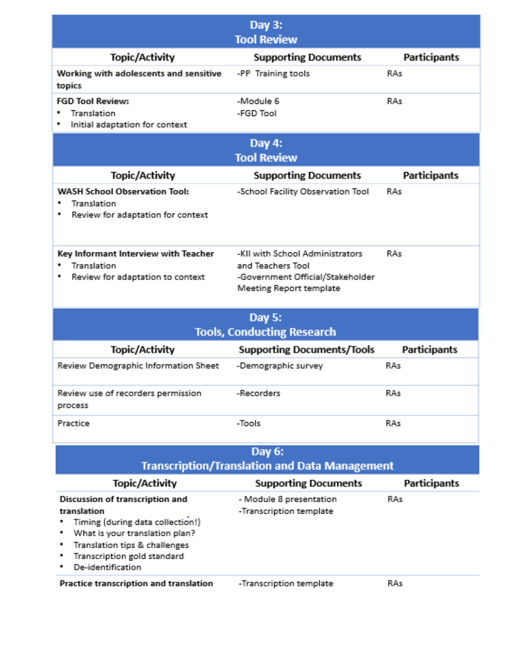|                                                                                                                                                                                                                          | Day $3:$                                                                                                                   |                     |  |
|--------------------------------------------------------------------------------------------------------------------------------------------------------------------------------------------------------------------------|----------------------------------------------------------------------------------------------------------------------------|---------------------|--|
|                                                                                                                                                                                                                          | <b>Tool Review</b>                                                                                                         |                     |  |
| Topic/Activity                                                                                                                                                                                                           | <b>Supporting Documents</b>                                                                                                | <b>Participants</b> |  |
| Working with adolescents and sensitive<br>topics                                                                                                                                                                         | -PP Training tools                                                                                                         | RAs                 |  |
| <b>FGD Tool Review:</b><br>Translation<br>۰<br>٠<br>Initial adaptation for context                                                                                                                                       | -Module 6<br>-EGD Tool                                                                                                     | RA<                 |  |
| Day 4:                                                                                                                                                                                                                   |                                                                                                                            |                     |  |
|                                                                                                                                                                                                                          | <b>Tool Review</b>                                                                                                         |                     |  |
| Topic/Activity                                                                                                                                                                                                           | <b>Supporting Documents</b>                                                                                                | <b>Participants</b> |  |
| <b>WASH School Observation Tool:</b><br>Translation<br>Review for adaptation for context                                                                                                                                 | -School Facility Observation Tool                                                                                          | RAs                 |  |
| Key Informant Interview with Teacher<br>Translation<br>Review for adaptation to context                                                                                                                                  | -KII with School Administrators<br>and Teachers Tool<br>-Government Official/Stakeholder<br><b>Meeting Report template</b> | RAs                 |  |
| Day 5:                                                                                                                                                                                                                   |                                                                                                                            |                     |  |
|                                                                                                                                                                                                                          | <b>Tools, Conducting Research</b>                                                                                          |                     |  |
| Topic/Activity                                                                                                                                                                                                           | <b>Supporting Documents/Tools</b>                                                                                          | <b>Participants</b> |  |
| Review Demographic Information Sheet                                                                                                                                                                                     | -Demographic survey                                                                                                        | RAs                 |  |
| Review use of recorders permission<br>process                                                                                                                                                                            | -Recorders                                                                                                                 | RAs                 |  |
| Practice                                                                                                                                                                                                                 | -Tools                                                                                                                     | RAs                 |  |
| Day 6:<br><b>Transcription/Translation and Data Management</b>                                                                                                                                                           |                                                                                                                            |                     |  |
| Topic/Activity                                                                                                                                                                                                           | <b>Supporting Documents</b>                                                                                                | Participants        |  |
| Discussion of transcription and<br>translation<br>Timing (during data collection!)<br>What is your translation plan?<br>Translation tips & challenges<br>٠<br>Transcription gold standard<br>٠<br>De-identification<br>٠ | - Module 8 presentation<br>-Transcription template                                                                         | RAs                 |  |
| Practice transcription and translation                                                                                                                                                                                   | -Transcription template                                                                                                    | RAs                 |  |